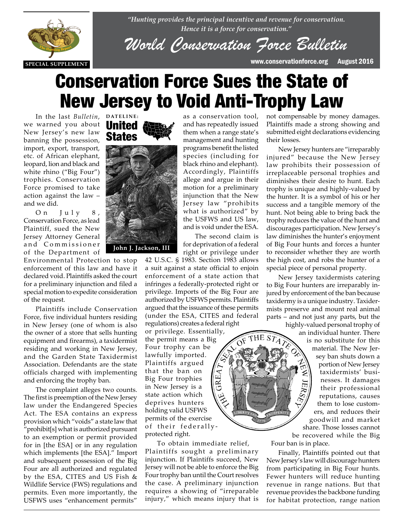

*"Hunting provides the principal incentive and revenue for conservation. Hence it is a force for conservation."*

*World Conservation Force Bulletin*

**SPECIAL SUPPLEMENT** www.conservationforce.org August 2016

# Conservation Force Sues the State of New Jersey to Void Anti-Trophy Law

as a conservation tool, and has repeatedly issued them when a range state's management and hunting programs benefit the listed species (including for black rhino and elephant). Accordingly, Plaintiffs allege and argue in their motion for a preliminary injunction that the New Jersey law "prohibits what is authorized" by the USFWS and US law, and is void under the ESA. The second claim is

In the last *Bulletin*, **DATELINE:** we warned you about New Jersey's new law banning the possession, import, export, transport, etc. of African elephant, leopard, lion and black and white rhino ("Big Four") trophies. Conservation Force promised to take action against the law – and we did.

On July 8, Conservation Force, as lead **Plaintiff, sued the New Plaintiff, sued the New Place**<br>**Tersey Attorney General** Jersey Attorney General and Commissioner of the Department of

> Environmental Protection to stop enforcement of this law and have it declared void. Plaintiffs asked the court for a preliminary injunction and filed a special motion to expedite consideration of the request.

> Plaintiffs include Conservation Force, five individual hunters residing in New Jersey (one of whom is also the owner of a store that sells hunting equipment and firearms), a taxidermist residing and working in New Jersey, and the Garden State Taxidermist Association. Defendants are the state officials charged with implementing and enforcing the trophy ban.

> The complaint alleges two counts. The first is preemption of the New Jersey law under the Endangered Species Act. The ESA contains an express provision which "voids" a state law that "prohibit[s] what is authorized pursuant to an exemption or permit provided for in [the ESA] or in any regulation which implements [the ESA]." Import and subsequent possession of the Big Four are all authorized and regulated by the ESA, CITES and US Fish & Wildlife Service (FWS) regulations and permits. Even more importantly, the USFWS uses "enhancement permits"





for deprivation of a federal right or privilege under 42 U.S.C. § 1983. Section 1983 allows a suit against a state official to enjoin enforcement of a state action that infringes a federally-protected right or privilege. Imports of the Big Four are authorized by USFWS permits. Plaintiffs argued that the issuance of these permits (under the ESA, CITES and federal regulations) creates a federal right

ΉE

or privilege. Essentially, the permit means a Big Four trophy can be lawfully imported. Plaintiffs argued that the ban on GREA Big Four trophies in New Jersey is a state action which deprives hunters holding valid USFWS permits of the exercise of their federallyprotected right.

To obtain immediate relief, Plaintiffs sought a preliminary injunction. If Plaintiffs succeed, New Jersey will not be able to enforce the Big Four trophy ban until the Court resolves the case. A preliminary injunction requires a showing of "irreparable injury," which means injury that is

not compensable by money damages. Plaintiffs made a strong showing and submitted eight declarations evidencing their losses.

New Jersey hunters are "irreparably injured" because the New Jersey law prohibits their possession of irreplaceable personal trophies and diminishes their desire to hunt. Each trophy is unique and highly-valued by the hunter. It is a symbol of his or her success and a tangible memory of the hunt. Not being able to bring back the trophy reduces the value of the hunt and discourages participation. New Jersey's law diminishes the hunter's enjoyment of Big Four hunts and forces a hunter to reconsider whether they are worth the high cost, and robs the hunter of a special piece of personal property.

New Jersey taxidermists catering to Big Four hunters are irreparably injured by enforcement of the ban because taxidermy is a unique industry. Taxidermists preserve and mount real animal parts – and not just any parts, but the

> highly-valued personal trophy of an individual hunter. There is no substitute for this material. The New Jersey ban shuts down a portion of New Jersey taxidermists' businesses. It damages 豆 their professional reputations, causes them to lose customers, and reduces their goodwill and market share. Those losses cannot be recovered while the Big

Four ban is in place.

Finally, Plaintiffs pointed out that New Jersey's law will discourage hunters from participating in Big Four hunts. Fewer hunters will reduce hunting revenue in range nations. But that revenue provides the backbone funding for habitat protection, range nation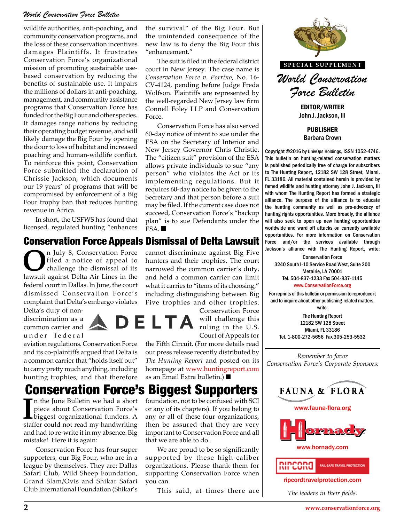#### *World Conservation Force Bulletin*

wildlife authorities, anti-poaching, and community conservation programs, and the loss of these conservation incentives damages Plaintiffs. It frustrates Conservation Force's organizational mission of promoting sustainable usebased conservation by reducing the benefits of sustainable use. It impairs the millions of dollars in anti-poaching, management, and community assistance programs that Conservation Force has funded for the Big Four and other species. It damages range nations by reducing their operating budget revenue, and will likely damage the Big Four by opening the door to loss of habitat and increased poaching and human-wildlife conflict. To reinforce this point, Conservation Force submitted the declaration of Chrissie Jackson, which documents our 19 years' of programs that will be compromised by enforcement of a Big Four trophy ban that reduces hunting revenue in Africa.

In short, the USFWS has found that licensed, regulated hunting "enhances

#### Conservation Force Appeals Dismissal of Delta Lawsuit

**O**n July 8, Conservation Force<br>filed a notice of appeal to<br>challenge the dismissal of its<br>lawcuit against Delta Air Lines in the filed a notice of appeal to challenge the dismissal of its lawsuit against Delta Air Lines in the federal court in Dallas. In June, the court dismissed Conservation Force's complaint that Delta's embargo violates

Delta's duty of nondiscrimination as a common carrier and under federal

aviation regulations. Conservation Force and its co-plaintiffs argued that Delta is a common carrier that "holds itself out" to carry pretty much anything, including hunting trophies, and that therefore

In the June Bulletin we had a short<br>piece about Conservation Force's<br>biggest organizational funders. A<br>staffer could not read my handwriting In the June Bulletin we had a short piece about Conservation Force's staffer could not read my handwriting and had to re-write it in my absence. Big mistake! Here it is again:

Conservation Force has four super supporters, our Big Four, who are in a league by themselves. They are: Dallas Safari Club, Wild Sheep Foundation, Grand Slam/Ovis and Shikar Safari Club International Foundation (Shikar's

the survival" of the Big Four. But the unintended consequence of the new law is to deny the Big Four this "enhancement."

The suit is filed in the federal district court in New Jersey. The case name is *Conservation Force v. Porrino*, No. 16- CV-4124, pending before Judge Freda Wolfson. Plaintiffs are represented by the well-regarded New Jersey law firm Connell Foley LLP and Conservation Force.

Conservation Force has also served 60-day notice of intent to sue under the ESA on the Secretary of Interior and New Jersey Governor Chris Christie. The "citizen suit" provision of the ESA allows private individuals to sue "any person" who violates the Act or its implementing regulations. But it requires 60-day notice to be given to the Secretary and that person before a suit may be filed. If the current case does not succeed, Conservation Force's "backup plan" is to sue Defendants under the ESA.

cannot discriminate against Big Five hunters and their trophies. The court narrowed the common carrier's duty, and held a common carrier can limit what it carries to "items of its choosing,"

including distinguishing between Big Five trophies and other trophies. Conservation Force LTA

will challenge this ruling in the U.S. Court of Appeals for

the Fifth Circuit. (For more details read our press release recently distributed by *The Hunting Report* and posted on its homepage at www.huntingreport.com as an Email Extra bulletin.)

## Conservation Force's Biggest Supporters

foundation, not to be confused with SCI or any of its chapters). If you belong to any or all of these four organizations, then be assured that they are very important to Conservation Force and all that we are able to do.

We are proud to be so significantly supported by these high-caliber organizations. Please thank them for supporting Conservation Force when you can.

This said, at times there are



John J. Jackson, III

PUBLISHER Barbara Crown

Copyright ©2016 by UnivOps Holdings, ISSN 1052-4746. This bulletin on hunting-related conservation matters is published periodically free of charge for subscribers to The Hunting Report, 12182 SW 128 Street, Miami, FL 33186. All material contained herein is provided by famed wildlife and hunting attorney John J. Jackson, III with whom The Hunting Report has formed a strategic alliance. The purpose of the alliance is to educate the hunting community as well as pro-advocacy of **THE HUNTING REPORT** hunting rights opportunities. More broadly, the alliance will also seek to open up new hunting opportunities worldwide and ward off attacks on currently available **Norldwide and ward off attacks on currently available**<br> **R AUST ANTING PROPERTIES**<br> **THE HUNTING REPORTANCE IN A PROPERTIES** Force and/or the services available through Jackson's alliance with The Hunting Report, write:

> Conservation Force 3240 South I-10 Service Road West, Suite 200 Metairie, LA 70001 Tel. 504-837-1233 Fax 504-837-1145 www.ConservationForce.org

For reprints of this bulletin or permission to reproduce it and to inquire about other publishing-related matters, write:

> The Hunting Report 12182 SW 128 Street Miami, FL 33186 Tel. 1-800-272-5656 Fax 305-253-5532

*Remember to favor Conservation Force's Corporate Sponsors:*







www.hornady.com



ripcordtravelprotection.com

*The leaders in their fields.*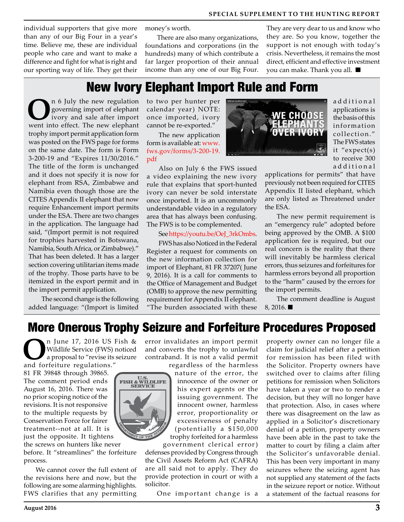individual supporters that give more than any of our Big Four in a year's time. Believe me, these are individual people who care and want to make a difference and fight for what is right and our sporting way of life. They get their

money's worth.

There are also many organizations, foundations and corporations (in the hundreds) many of which contribute a far larger proportion of their annual income than any one of our Big Four.

They are very dear to us and know who they are. So you know, together the support is not enough with today's crisis. Nevertheless, it remains the most direct, efficient and effective investment you can make. Thank you all.

## New Ivory Elephant Import Rule and Form

**O**n 6 July the new regulation<br>governing import of elephant<br>ivory and sale after import governing import of elephant ivory and sale after import went into effect. The new elephant trophy import permit application form was posted on the FWS page for forms on the same date. The form is Form 3-200-19 and "Expires 11/30/2016." The title of the form is unchanged and it does not specify it is now for elephant from RSA, Zimbabwe and Namibia even though those are the CITES Appendix II elephant that now require Enhancement import permits under the ESA. There are two changes in the application. The language had said, "(Import permit is not required for trophies harvested in Botswana, Namibia, South Africa, or Zimbabwe)." That has been deleted. It has a larger section covering utilitarian items made of the trophy. Those parts have to be itemized in the export permit and in the import permit application.

 The second change is the following added language: "(Import is limited

to two per hunter per calendar year) NOTE: once imported, ivory cannot be re-exported."

The new application form is available at: www. fws.gov/forms/3-200-19. pdf

Also on July 6 the FWS issued a video explaining the new ivory rule that explains that sport-hunted ivory can never be sold interstate once imported. It is an uncommonly understandable video in a regulatory area that has always been confusing. The FWS is to be complemented.

See https://youtu.be/OeJ\_3rkOmbs.

FWS has also Noticed in the Federal Register a request for comments on the new information collection for import of Elephant, 81 FR 37207( June 9, 2016). It is a call for comments to the Office of Management and Budget (OMB) to approve the new permitting requirement for Appendix II elephant. "The burden associated with these



a d d i t i o n a l applications is the basis of this information collection." The FWS states it "expect(s) to receive 300 ad ditional

applications for permits" that have previously not been required for CITES Appendix II listed elephant, which are only listed as Threatened under the ESA.

The new permit requirement is an "emergency rule" adopted before being approved by the OMB. A \$100 application fee is required, but our real concern is the reality that there will inevitably be harmless clerical errors, thus seizures and forfeitures for harmless errors beyond all proportion to the "harm" caused by the errors for the import permits.

The comment deadline is August 8, 2016.

## More Onerous Trophy Seizure and Forfeiture Procedures Proposed

**O**n June 17, 2016 US Fish & Wildlife Service (FWS) noticed a proposal to "revise its seizure and forfeiture regulations."

81 FR 39848 through 39865. The comment period ends August 16, 2016. There was no prior scoping notice of the revisions. It is not responsive to the multiple requests by Conservation Force for fairer treatment--not at all. It is just the opposite. It tightens

the screws on hunters like never before. It "streamlines" the forfeiture process.

We cannot cover the full extent of the revisions here and now, but the following are some alarming highlights. FWS clarifies that any permitting error invalidates an import permit and converts the trophy to unlawful contraband. It is not a valid permit

U.S.<br>FISH & WILDLIFE<br>SERVICE

regardless of the harmless nature of the error, the innocence of the owner or his expert agents or the issuing government. The innocent owner, harmless error, proportionality or excessiveness of penalty (potentially a \$150,000 trophy forfeited for a harmless

government clerical error ) defenses provided by Congress through the Civil Assets Reform Act (CAFRA) are all said not to apply. They do provide protection in court or with a solicitor.

One important change is a

property owner can no longer file a claim for judicial relief after a petition for remission has been filed with the Solicitor. Property owners have switched over to claims after filing petitions for remission when Solicitors have taken a year or two to render a decision, but they will no longer have that protection. Also, in cases where there was disagreement on the law as applied in a Solicitor's discretionary denial of a petition, property owners have been able in the past to take the matter to court by filing a claim after the Solicitor's unfavorable denial. This has been very important in many seizures where the seizing agent has not supplied any statement of the facts in the seizure report or notice. Without a statement of the factual reasons for